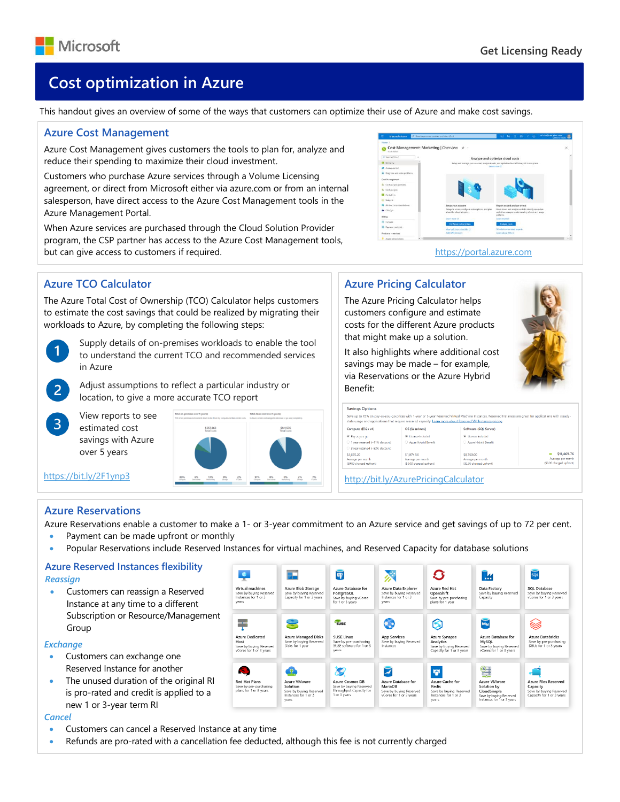

# **Cost optimization in Azure**

This handout gives an overview of some of the ways that customers can optimize their use of Azure and make cost savings.

#### **Azure Cost Management**

Azure Cost Management gives customers the tools to plan for, analyze and reduce their spending to maximize their cloud investment.

Customers who purchase Azure services through a Volume Licensing agreement, or direct from Microsoft either via azure.com or from an internal salesperson, have direct access to the Azure Cost Management tools in the Azure Management Portal.

When Azure services are purchased through the Cloud Solution Provider program, the CSP partner has access to the Azure Cost Management tools, but can give access to customers if required. [https://portal.azure.com](https://portal.azure.com/)



# **Azure TCO Calculator**

The Azure Total Cost of Ownership (TCO) Calculator helps customers to estimate the cost savings that could be realized by migrating their workloads to Azure, by completing the following steps:



 $\overline{3}$ 

Supply details of on-premises workloads to enable the tool to understand the current TCO and recommended services in Azure

Adjust assumptions to reflect a particular industry or location, to give a more accurate TCO report

View reports to see estimated cost savings with Azure over 5 years

\$557,063<br>Total cost \$141,576  $\begin{matrix} 6\% \\ \text{Dirac outer} \end{matrix} \qquad \begin{matrix} 13\% \\ \text{Heracobi} \end{matrix} \qquad \begin{matrix} 0\% \\ \text{Perag} \end{matrix}$  $2\%$  $\begin{matrix} 0\% & 0\% & 2\% \\ \text{for a center} & \text{Neometric} & 1\% \end{matrix}$  $\frac{7\%}{100}$ 

# **Azure Pricing Calculator**

The Azure Pricing Calculator helps customers configure and estimate costs for the different Azure products that might make up a solution.

It also highlights where additional cost savings may be made – for example, via Reservations or the Azure Hybrid Benefit:

|                                 |                          | Save up to 72% on pay-as-you-go prices with 1-year or 3-year Reserved Virtual Machine Instances. Reserved Instances are great for applications with steady-<br>state usage and applications that require reserved capacity. Learn more about Reserved VM Instances gricing. |                          |
|---------------------------------|--------------------------|-----------------------------------------------------------------------------------------------------------------------------------------------------------------------------------------------------------------------------------------------------------------------------|--------------------------|
| Compute (E32s y4)               | OS (Windows)             | Software (SOL Server)                                                                                                                                                                                                                                                       |                          |
| W. Pay as you go                | * License included       | 30 License included                                                                                                                                                                                                                                                         |                          |
| 1 year reserved (~41% discount) | Azure Hybrid Benefit     | Azure Hybrid Benefit                                                                                                                                                                                                                                                        |                          |
| 3 year reserved (-62% discount) |                          |                                                                                                                                                                                                                                                                             |                          |
| \$1,635.20                      | \$1,074.56               | \$8,760.00                                                                                                                                                                                                                                                                  | \$11,469.76              |
| Average per month               | Average per month        | Average per month                                                                                                                                                                                                                                                           | Average per month        |
| (\$0.00 charged upfront)        | (\$0.00 charged upfront) | (\$0.00 charged upfront)                                                                                                                                                                                                                                                    | (\$0,00 charged upfront) |

<http://bit.ly/AzurePricingCalculator>

## **Azure Reservations**

<https://bit.ly/2F1ynp3>

Azure Reservations enable a customer to make a 1- or 3-year commitment to an Azure service and get savings of up to 72 per cent.

- Payment can be made upfront or monthly
- Popular Reservations include Reserved Instances for virtual machines, and Reserved Capacity for database solutions

#### **Azure Reserved Instances flexibility** *Reassign*

• Customers can reassign a Reserved Instance at any time to a different Subscription or Resource/Management Group

#### *Exchange*

- Customers can exchange one Reserved Instance for another
- The unused duration of the original RI is pro-rated and credit is applied to a new 1 or 3-year term RI

#### *Cancel*

- Customers can cancel a Reserved Instance at any time
- Refunds are pro-rated with a cancellation fee deducted, although this fee is not currently charged